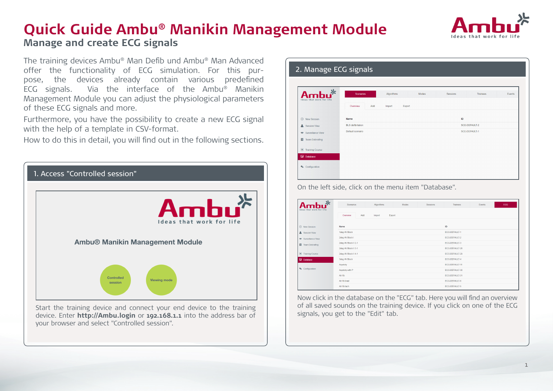

# **Quick Guide Ambu® Manikin Management Module Manage and create ECG signals**

The training devices Ambu® Man Defib und Ambu® Man Advanced offer the functionality of ECG simulation. For this purpose, the devices already contain various predefined ECG signals. Via the interface of the Ambu® Manikin Management Module you can adjust the physiological parameters of these ECG signals and more.

Furthermore, you have the possibility to create a new ECG signal with the help of a template in CSV-format.

How to do this in detail, you will find out in the following sections.



device. Enter **http://Ambu.login** or **192.168.1.1** into the address bar of your browser and select "Controlled session".

| Ideas that work for life     | Scenarios                | Algorithms       | Modes | Sessions | Trainees      | Events |
|------------------------------|--------------------------|------------------|-------|----------|---------------|--------|
|                              | Overview<br>Add          | Export<br>Import |       |          |               |        |
| <b>(+)</b> New Session       | Name                     |                  |       | ID       |               |        |
| Session View                 | <b>BLS</b> defibrilation |                  |       |          | SCE-DEFAULT-2 |        |
| <b>484</b> Surveillance View | Default scenario         |                  |       |          | SCE-DEFAULT-1 |        |
| Team Debriefing              |                          |                  |       |          |               |        |
| Training Course              |                          |                  |       |          |               |        |
| Database                     |                          |                  |       |          |               |        |

Ambu $*$ New Session 1deg AV Bloc ECG-DEFAULT-& Session View 2deg AV Block FCG-DEFAULT-3 **COO DEEALLY 3** 2deg AV Block II 2-1 Team Debrief 2deg AV Block II 3-1 ECG-DEFAULT-28 **a** Training Cours **Orlean W/ Block II A 1 COO DEEALLY 20** 3deg AV Block FCG-DEFAULT-4 Asystoh FCG-DEFAULT-1 Asystoly with ECG-DEFAULT-3 Atr fit ECG-DEFAULT-3 Afr fib brad ECG-DEFAULT-6 **ECC DECAULT 4** Atr fils tach

Now click in the database on the "ECG" tab. Here you will find an overview of all saved sounds on the training device. If you click on one of the ECG signals, you get to the "Edit" tab.

On the left side, click on the menu item "Database".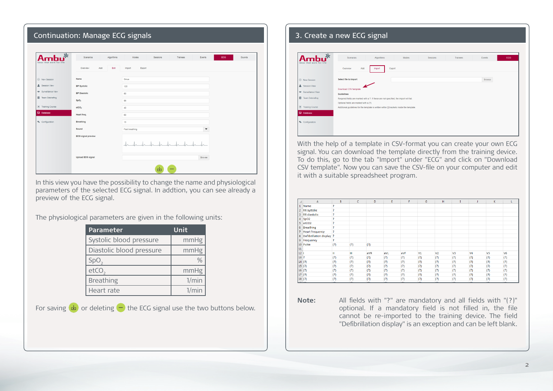## Continuation: Manage ECG signals

| $-25$<br>Ideas that work for life | Algorithms<br>Scenarios   | Modes<br>Trainees<br>Events<br>Sessions    | ECG.<br>Sounds |
|-----------------------------------|---------------------------|--------------------------------------------|----------------|
|                                   | Overview<br>Add<br>Edit   | Export<br>Import                           |                |
| <b>(b)</b> New Session            | Name                      | Sinus                                      |                |
| Session View                      | <b>BP Systolic</b>        | 120                                        |                |
| 44 Surveillance View              | <b>BP Diastolic</b>       | 80                                         |                |
| Team Debriefing                   | SpO <sub>2</sub>          | 99                                         |                |
| Training Course                   | etCO <sub>2</sub>         | 40                                         |                |
| <b>Database</b>                   | Heart freq.               | 60                                         |                |
| $\Phi_0$ Configuration            | <b>Breathing</b>          | 15                                         |                |
|                                   | Sound                     | Fast breathing<br>$\overline{\phantom{a}}$ |                |
|                                   | <b>ECG</b> signal preview |                                            |                |
|                                   |                           |                                            |                |
|                                   | <b>Upload ECG signal</b>  | Browse                                     |                |
|                                   |                           | 凼<br>_                                     |                |

In this view you have the possibility to change the name and physiological parameters of the selected ECG signal. In addtion, you can see already a preview of the ECG signal.

The physiological parameters are given in the following units:

| <b>Parameter</b>         | Unit  |
|--------------------------|-------|
| Systolic blood pressure  | mmHg  |
| Diastolic blood pressure | mmHg  |
| SpO <sub>2</sub>         |       |
| etcO,                    | mmHg  |
| <b>Breathing</b>         | 1/min |
| Heart rate               | 1/min |

For saving  $\left(\frac{1}{2}\right)$  or deleting  $\left(\frac{1}{2}\right)$  the ECG signal use the two buttons below.

## 3. Create a new ECG signal

|                                         | Add<br>Overview<br>Export<br>Import                                                                                              |  |
|-----------------------------------------|----------------------------------------------------------------------------------------------------------------------------------|--|
| <b>E</b> New Session                    | Select file to import<br>Browse                                                                                                  |  |
| Session View                            |                                                                                                                                  |  |
| AM Surveillance View                    | Download CSV template<br><b>Guidelines</b>                                                                                       |  |
| п<br>Team Debriefing                    | Required fields are marked with a ?. If these are not specified, the import will fail.<br>Optional fields are marked with a (?). |  |
| $\bullet$<br><b>Training Course</b>     | Additional guidelines for the template is written within [] brackets inside the template.                                        |  |
| Database                                |                                                                                                                                  |  |
| <sup>O</sup> <sub>o</sub> Configuration |                                                                                                                                  |  |

With the help of a template in CSV-format you can create your own ECG signal. You can download the template directly from the training device. To do this, go to the tab "Import" under "ECG" and click on "Download CSV template". Now you can save the CSV-file on your computer and edit it with a suitable spreadsheet program.

|                 | A                        | B          | c                | D                | Ε   | F   | G              | н              |                | IJ             | κ                | L                |
|-----------------|--------------------------|------------|------------------|------------------|-----|-----|----------------|----------------|----------------|----------------|------------------|------------------|
| $\mathbf{1}$    | Name                     | P          |                  |                  |     |     |                |                |                |                |                  |                  |
| $\overline{2}$  | <b>RR</b> systolic       | ş          |                  |                  |     |     |                |                |                |                |                  |                  |
| 3               | <b>RR</b> diastolic      | P          |                  |                  |     |     |                |                |                |                |                  |                  |
| 4               | SpO <sub>2</sub>         | P          |                  |                  |     |     |                |                |                |                |                  |                  |
| 5               | etCO <sub>2</sub>        | ş          |                  |                  |     |     |                |                |                |                |                  |                  |
| 6               | <b>Breathing</b>         | P          |                  |                  |     |     |                |                |                |                |                  |                  |
|                 | <b>Heart frequency</b>   | P          |                  |                  |     |     |                |                |                |                |                  |                  |
| 8               | Defibrillation display ? |            |                  |                  |     |     |                |                |                |                |                  |                  |
| 9               | Frequency                | P          |                  |                  |     |     |                |                |                |                |                  |                  |
|                 | 10 Pulse                 | (?)        | (?)              | (?)              |     |     |                |                |                |                |                  |                  |
| 11              |                          |            |                  |                  |     |     |                |                |                |                |                  |                  |
| 12 <sub>1</sub> |                          | Ш          | Ш                | aVR              | aVL | aVF | V <sub>1</sub> | V <sub>2</sub> | V <sub>3</sub> | V <sub>4</sub> | V <sub>5</sub>   | V <sub>6</sub>   |
| 13 ?            |                          | (?)        | (?)              | (?)              | (?) | (?) | (?)            | (?)            | (?)            | (?)            | (?)              | (?)              |
|                 | 14(?)                    | (?)        | (?)              | (?)              | (?) | (?) | (?)            | (?)            | (?)            | (?)            | (?)              | (?)              |
|                 | 15(?)                    | (?)        | (?)              | (?)              | (?) | (?) | (?)            | (?)            | (?)            | (?)            | (?)              | (?)              |
|                 | 16(?)                    | (?)        | (?)              | (?)              | (?) | (?) | (?)            | (?)            | (?)            | (?)            | (?)              | (?)              |
|                 | 17(?)                    | (?)        | (?)              | (?)              | (?) | (?) | (?)            | (?)            | (?)            | (?)            | (?)              | (?)              |
|                 | 18 (?)                   | (?)        | (?)              | (?)              | (?) | (?) | (?)            | (?)            | (?)            | (?)            | (?)              | (?)              |
|                 | لتصالحها                 | $\sqrt{2}$ | $\overline{121}$ | $\overline{121}$ | 121 | 121 | 121            | 121            | 121            | 121            | $\overline{121}$ | $\overline{121}$ |

**Note:** All fields with "?" are mandatory and all fields with "(?)" optional. If a mandatory field is not filled in, the file cannot be re-imported to the training device. The field "Defibrillation display" is an exception and can be left blank.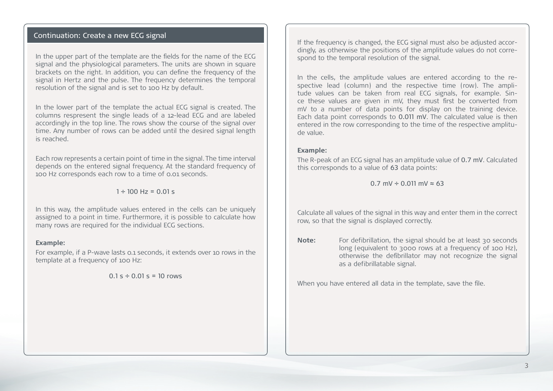### Continuation: Create a new ECG signal

In the upper part of the template are the fields for the name of the ECG signal and the physiological parameters. The units are shown in square brackets on the right. In addition, you can define the frequency of the signal in Hertz and the pulse. The frequency determines the temporal resolution of the signal and is set to 100 Hz by default.

In the lower part of the template the actual ECG signal is created. The columns respresent the single leads of a 12-lead ECG and are labeled accordingly in the top line. The rows show the course of the signal over time. Any number of rows can be added until the desired signal length is reached.

Each row represents a certain point of time in the signal. The time interval depends on the entered signal frequency. At the standard frequency of 100 Hz corresponds each row to a time of 0.01 seconds.

 $1 \div 100$  Hz = 0.01 s

In this way, the amplitude values entered in the cells can be uniquely assigned to a point in time. Furthermore, it is possible to calculate how many rows are required for the individual ECG sections.

#### **Example:**

For example, if a P-wave lasts 0.1 seconds, it extends over 10 rows in the template at a frequency of 100 Hz:

 $0.1 s \div 0.01 s = 10$  rows

If the frequency is changed, the ECG signal must also be adjusted accordingly, as otherwise the positions of the amplitude values do not correspond to the temporal resolution of the signal.

In the cells, the amplitude values are entered according to the respective lead (column) and the respective time (row). The amplitude values can be taken from real ECG signals, for example. Since these values are given in mV, they must first be converted from mV to a number of data points for display on the training device. Each data point corresponds to 0.011 mV. The calculated value is then entered in the row corresponding to the time of the respective amplitude value.

#### **Example:**

The R-peak of an ECG signal has an amplitude value of 0.7 mV. Calculated this corresponds to a value of 63 data points:

 $0.7$  mV  $\div$  0.011 mV  $\approx$  63

Calculate all values of the signal in this way and enter them in the correct row, so that the signal is displayed correctly.

**Note:** For defibrillation, the signal should be at least 30 seconds long (equivalent to 3000 rows at a frequency of 100 Hz), otherwise the defibrillator may not recognize the signal as a defibrillatable signal.

When you have entered all data in the template, save the file.